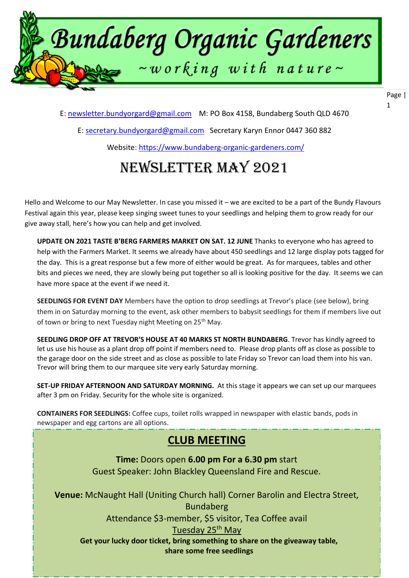

E: [newsletter.bundyorgard@gmail.com](file:///F:/data/documents/BOGI%20Files/Newsletters%202020/7.%20July%202020/newsletter.bundyorgard@gmail.com) M: PO Box 4158, Bundaberg South QLD 4670

E: [secretary.bundyorgard@gmail.com](file:///F:/data/documents/BOGI%20Files/Newsletters%202020/7.%20July%202020/secretary.bundyorgard@gmail.com) Secretary Karyn Ennor 0447 360 882

Website:<https://www.bundaberg-organic-gardeners.com/>

# Newsletter may 2021

Hello and Welcome to our May Newsletter. In case you missed it – we are excited to be a part of the Bundy Flavours Festival again this year, please keep singing sweet tunes to your seedlings and helping them to grow ready for our give away stall, here's how you can help and get involved.

**UPDATE ON 2021 TASTE B'BERG FARMERS MARKET ON SAT. 12 JUNE** Thanks to everyone who has agreed to help with the Farmers Market. It seems we already have about 450 seedlings and 12 large display pots tagged for the day. This is a great response but a few more of either would be great. As for marquees, tables and other bits and pieces we need, they are slowly being put together so all is looking positive for the day. It seems we can have more space at the event if we need it.

**SEEDLINGS FOR EVENT DAY** Members have the option to drop seedlings at Trevor's place (see below), bring them in on Saturday morning to the event, ask other members to babysit seedlings for them if members live out of town or bring to next Tuesday night Meeting on 25<sup>th</sup> May.

**SEEDLING DROP OFF AT TREVOR'S HOUSE AT 40 MARKS ST NORTH BUNDABERG**. Trevor has kindly agreed to let us use his house as a plant drop off point if members need to. Please drop plants off as close as possible to the garage door on the side street and as close as possible to late Friday so Trevor can load them into his van. Trevor will bring them to our marquee site very early Saturday morning.

**SET-UP FRIDAY AFTERNOON AND SATURDAY MORNING.** At this stage it appears we can set up our marquees after 3 pm on Friday. Security for the whole site is organized.

**CONTAINERS FOR SEEDLINGS:** Coffee cups, toilet rolls wrapped in newspaper with elastic bands, pods in newspaper and egg cartons are all options.

### **CLUB MEETING**

**Time:** Doors open **6.00 pm For a 6.30 pm** start Guest Speaker: John Blackley Queensland Fire and Rescue.

**Venue:** McNaught Hall (Uniting Church hall) Corner Barolin and Electra Street, Bundaberg

**BOGI members are welcome to sit in attendance \$3-member, \$5 visitor, Tea Coffee avail** 

ask anyone on the Committee for details of when and when and when and when  $\sim$  to be held. At  $\sim$  to be held. At  $\sim$  to  $\sim$ 

**Get your lucky door ticket, bring something to share on the giveaway table, share some free seedlings**

Page | 1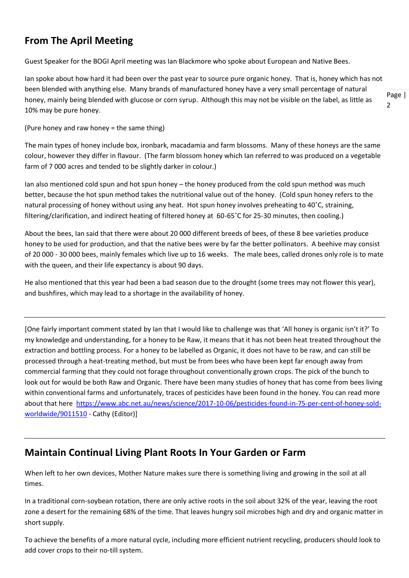### **From The April Meeting**

Guest Speaker for the BOGI April meeting was Ian Blackmore who spoke about European and Native Bees.

Ian spoke about how hard it had been over the past year to source pure organic honey. That is, honey which has not been blended with anything else. Many brands of manufactured honey have a very small percentage of natural honey, mainly being blended with glucose or corn syrup. Although this may not be visible on the label, as little as 10% may be pure honey.

(Pure honey and raw honey = the same thing)

The main types of honey include box, ironbark, macadamia and farm blossoms. Many of these honeys are the same colour, however they differ in flavour. (The farm blossom honey which Ian referred to was produced on a vegetable farm of 7 000 acres and tended to be slightly darker in colour.)

Ian also mentioned cold spun and hot spun honey – the honey produced from the cold spun method was much better, because the hot spun method takes the nutritional value out of the honey. (Cold spun honey refers to the natural processing of honey without using any heat. Hot spun honey involves preheating to 40˚C, straining, filtering/clarification, and indirect heating of filtered honey at 60-65˚C for 25-30 minutes, then cooling.)

About the bees, Ian said that there were about 20 000 different breeds of bees, of these 8 bee varieties produce honey to be used for production, and that the native bees were by far the better pollinators. A beehive may consist of 20 000 - 30 000 bees, mainly females which live up to 16 weeks. The male bees, called drones only role is to mate with the queen, and their life expectancy is about 90 days.

He also mentioned that this year had been a bad season due to the drought (some trees may not flower this year), and bushfires, which may lead to a shortage in the availability of honey.

[One fairly important comment stated by Ian that I would like to challenge was that 'All honey is organic isn't it?' To my knowledge and understanding, for a honey to be Raw, it means that it has not been heat treated throughout the extraction and bottling process. For a honey to be labelled as Organic, it does not have to be raw, and can still be processed through a heat-treating method, but must be from bees who have been kept far enough away from commercial farming that they could not forage throughout conventionally grown crops. The pick of the bunch to look out for would be both Raw and Organic. There have been many studies of honey that has come from bees living within conventional farms and unfortunately, traces of pesticides have been found in the honey. You can read more about that here [https://www.abc.net.au/news/science/2017-10-06/pesticides-found-in-75-per-cent-of-honey-sold](https://www.abc.net.au/news/science/2017-10-06/pesticides-found-in-75-per-cent-of-honey-sold-worldwide/9011510)[worldwide/9011510](https://www.abc.net.au/news/science/2017-10-06/pesticides-found-in-75-per-cent-of-honey-sold-worldwide/9011510) - Cathy (Editor)]

### **Maintain Continual Living Plant Roots In Your Garden or Farm**

When left to her own devices, Mother Nature makes sure there is something living and growing in the soil at all times.

In a traditional corn-soybean rotation, there are only active roots in the soil about 32% of the year, leaving the root zone a desert for the remaining 68% of the time. That leaves hungry soil microbes high and dry and organic matter in short supply.

To achieve the benefits of a more natural cycle, including more efficient nutrient recycling, producers should look to add cover crops to their no-till system.

Page |  $\overline{2}$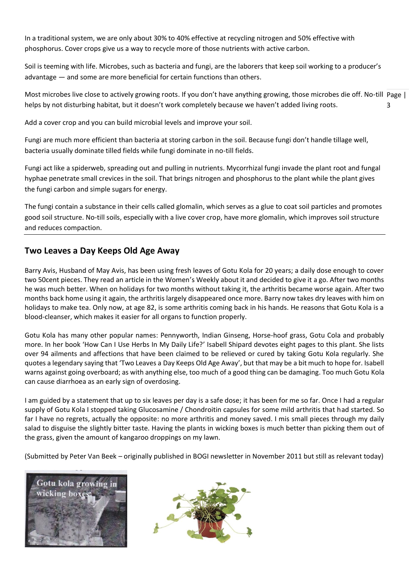In a traditional system, we are only about 30% to 40% effective at recycling nitrogen and 50% effective with phosphorus. Cover crops give us a way to recycle more of those nutrients with active carbon.

Soil is teeming with life. Microbes, such as bacteria and fungi, are the laborers that keep soil working to a producer's advantage — and some are more beneficial for certain functions than others.

Most microbes live close to actively growing roots. If you don't have anything growing, those microbes die off. No-till Page | 3 helps by not disturbing habitat, but it doesn't work completely because we haven't added living roots.

Add a cover crop and you can build microbial levels and improve your soil.

Fungi are much more efficient than bacteria at storing carbon in the soil. Because fungi don't handle tillage well, bacteria usually dominate tilled fields while fungi dominate in no-till fields.

Fungi act like a spiderweb, spreading out and pulling in nutrients. Mycorrhizal fungi invade the plant root and fungal hyphae penetrate small crevices in the soil. That brings nitrogen and phosphorus to the plant while the plant gives the fungi carbon and simple sugars for energy.

The fungi contain a substance in their cells called [glomalin,](https://www.no-tillfarmer.com/articles/3179-no-tills-super-glue-works-wonders) which serves as a glue to coat soil particles and promotes good soil structure. No-till soils, especially with a live cover crop, have more glomalin, which improves soil structure and reduces compaction.

#### **Two Leaves a Day Keeps Old Age Away**

Barry Avis, Husband of May Avis, has been using fresh leaves of Gotu Kola for 20 years; a daily dose enough to cover two 50cent pieces. They read an article in the Women's Weekly about it and decided to give it a go. After two months he was much better. When on holidays for two months without taking it, the arthritis became worse again. After two months back home using it again, the arthritis largely disappeared once more. Barry now takes dry leaves with him on holidays to make tea. Only now, at age 82, is some arthritis coming back in his hands. He reasons that Gotu Kola is a blood-cleanser, which makes it easier for all organs to function properly.

Gotu Kola has many other popular names: Pennyworth, Indian Ginseng, Horse-hoof grass, Gotu Cola and probably more. In her book 'How Can I Use Herbs In My Daily Life?' Isabell Shipard devotes eight pages to this plant. She lists over 94 ailments and affections that have been claimed to be relieved or cured by taking Gotu Kola regularly. She quotes a legendary saying that 'Two Leaves a Day Keeps Old Age Away', but that may be a bit much to hope for. Isabell warns against going overboard; as with anything else, too much of a good thing can be damaging. Too much Gotu Kola can cause diarrhoea as an early sign of overdosing.

I am guided by a statement that up to six leaves per day is a safe dose; it has been for me so far. Once I had a regular supply of Gotu Kola I stopped taking Glucosamine / Chondroitin capsules for some mild arthritis that had started. So far I have no regrets, actually the opposite: no more arthritis and money saved. I mis small pieces through my daily salad to disguise the slightly bitter taste. Having the plants in wicking boxes is much better than picking them out of the grass, given the amount of kangaroo droppings on my lawn.

(Submitted by Peter Van Beek – originally published in BOGI newsletter in November 2011 but still as relevant today)



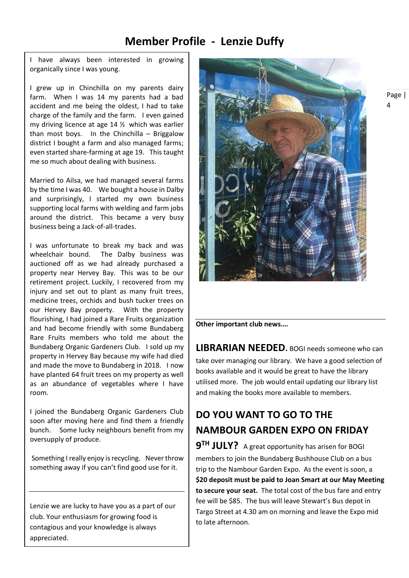### **Member Profile - Lenzie Duffy**

I have always been interested in growing organically since I was young.

I grew up in Chinchilla on my parents dairy farm. When I was 14 my parents had a bad accident and me being the oldest, I had to take charge of the family and the farm. I even gained my driving licence at age 14 ½ which was earlier than most boys. In the Chinchilla – Briggalow district I bought a farm and also managed farms; even started share-farming at age 19. This taught me so much about dealing with business.

Married to Ailsa, we had managed several farms by the time I was 40. We bought a house in Dalby and surprisingly, I started my own business supporting local farms with welding and farm jobs around the district. This became a very busy business being a Jack-of-all-trades.

I was unfortunate to break my back and was wheelchair bound. The Dalby business was auctioned off as we had already purchased a property near Hervey Bay. This was to be our retirement project. Luckily, I recovered from my injury and set out to plant as many fruit trees, medicine trees, orchids and bush tucker trees on our Hervey Bay property. With the property flourishing, I had joined a Rare Fruits organization and had become friendly with some Bundaberg Rare Fruits members who told me about the Bundaberg Organic Gardeners Club. I sold up my property in Hervey Bay because my wife had died and made the move to Bundaberg in 2018. I now have planted 64 fruit trees on my property as well as an abundance of vegetables where I have room.

I joined the Bundaberg Organic Gardeners Club soon after moving here and find them a friendly bunch. Some lucky neighbours benefit from my oversupply of produce.

Something I really enjoy is recycling. Never throw something away if you can't find good use for it.

Lenzie we are lucky to have you as a part of our club. Your enthusiasm for growing food is contagious and your knowledge is always appreciated.



**Other important club news….** 

**LIBRARIAN NEEDED**. BOGI needs someone who can take over managing our library. We have a good selection of books available and it would be great to have the library utilised more. The job would entail updating our library list and making the books more available to members.

### **DO YOU WANT TO GO TO THE NAMBOUR GARDEN EXPO ON FRIDAY**

**9 TH JULY?** A great opportunity has arisen for BOGI members to join the Bundaberg Bushhouse Club on a bus trip to the Nambour Garden Expo. As the event is soon, a **\$20 deposit must be paid to Joan Smart at our May Meeting to secure your seat.** The total cost of the bus fare and entry fee will be \$85. The bus will leave Stewart's Bus depot in Targo Street at 4.30 am on morning and leave the Expo mid to late afternoon.

Page | 4